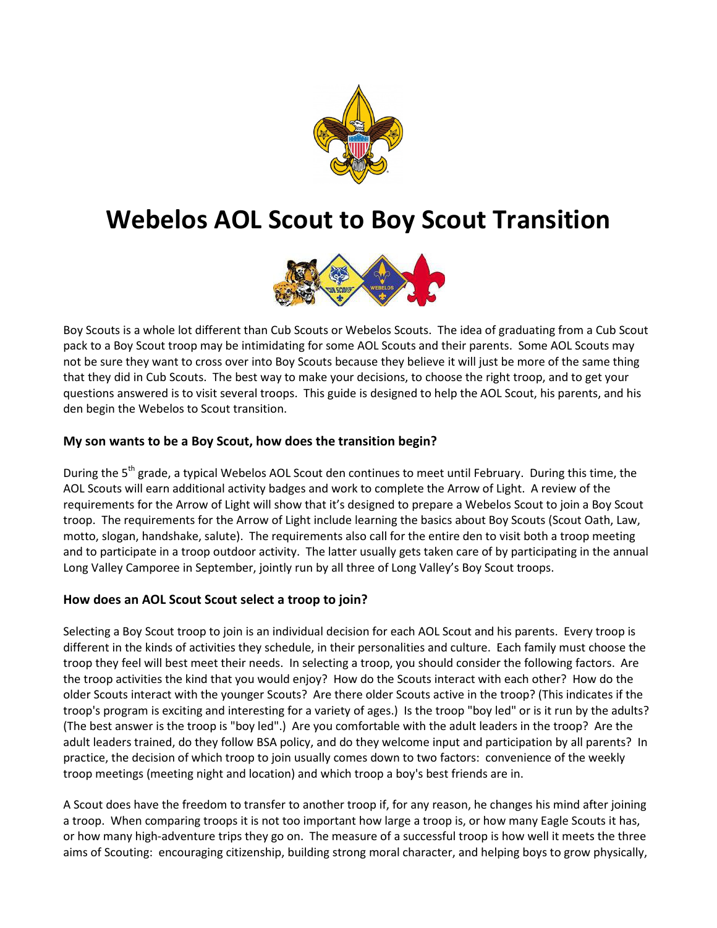

# **Webelos AOL Scout to Boy Scout Transition**



Boy Scouts is a whole lot different than Cub Scouts or Webelos Scouts. The idea of graduating from a Cub Scout pack to a Boy Scout troop may be intimidating for some AOL Scouts and their parents. Some AOL Scouts may not be sure they want to cross over into Boy Scouts because they believe it will just be more of the same thing that they did in Cub Scouts. The best way to make your decisions, to choose the right troop, and to get your questions answered is to visit several troops. This guide is designed to help the AOL Scout, his parents, and his den begin the Webelos to Scout transition.

# **My son wants to be a Boy Scout, how does the transition begin?**

During the 5<sup>th</sup> grade, a typical Webelos AOL Scout den continues to meet until February. During this time, the AOL Scouts will earn additional activity badges and work to complete the Arrow of Light. A review of the requirements for the Arrow of Light will show that it's designed to prepare a Webelos Scout to join a Boy Scout troop. The requirements for the Arrow of Light include learning the basics about Boy Scouts (Scout Oath, Law, motto, slogan, handshake, salute). The requirements also call for the entire den to visit both a troop meeting and to participate in a troop outdoor activity. The latter usually gets taken care of by participating in the annual Long Valley Camporee in September, jointly run by all three of Long Valley's Boy Scout troops.

# **How does an AOL Scout Scout select a troop to join?**

Selecting a Boy Scout troop to join is an individual decision for each AOL Scout and his parents. Every troop is different in the kinds of activities they schedule, in their personalities and culture. Each family must choose the troop they feel will best meet their needs. In selecting a troop, you should consider the following factors. Are the troop activities the kind that you would enjoy? How do the Scouts interact with each other? How do the older Scouts interact with the younger Scouts? Are there older Scouts active in the troop? (This indicates if the troop's program is exciting and interesting for a variety of ages.) Is the troop "boy led" or is it run by the adults? (The best answer is the troop is "boy led".) Are you comfortable with the adult leaders in the troop? Are the adult leaders trained, do they follow BSA policy, and do they welcome input and participation by all parents? In practice, the decision of which troop to join usually comes down to two factors: convenience of the weekly troop meetings (meeting night and location) and which troop a boy's best friends are in.

A Scout does have the freedom to transfer to another troop if, for any reason, he changes his mind after joining a troop. When comparing troops it is not too important how large a troop is, or how many Eagle Scouts it has, or how many high-adventure trips they go on. The measure of a successful troop is how well it meets the three aims of Scouting: encouraging citizenship, building strong moral character, and helping boys to grow physically,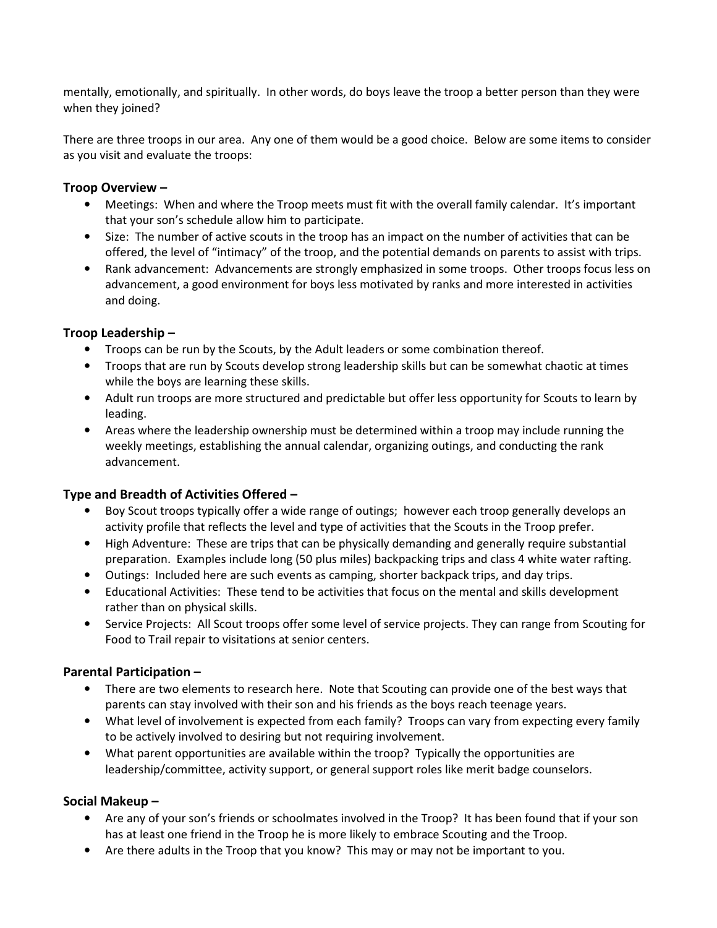mentally, emotionally, and spiritually. In other words, do boys leave the troop a better person than they were when they joined?

There are three troops in our area. Any one of them would be a good choice. Below are some items to consider as you visit and evaluate the troops:

# **Troop Overview –**

- Meetings: When and where the Troop meets must fit with the overall family calendar. It's important that your son's schedule allow him to participate.
- Size: The number of active scouts in the troop has an impact on the number of activities that can be offered, the level of "intimacy" of the troop, and the potential demands on parents to assist with trips.
- Rank advancement: Advancements are strongly emphasized in some troops. Other troops focus less on advancement, a good environment for boys less motivated by ranks and more interested in activities and doing.

# **Troop Leadership –**

- Troops can be run by the Scouts, by the Adult leaders or some combination thereof.
- Troops that are run by Scouts develop strong leadership skills but can be somewhat chaotic at times while the boys are learning these skills.
- Adult run troops are more structured and predictable but offer less opportunity for Scouts to learn by leading.
- Areas where the leadership ownership must be determined within a troop may include running the weekly meetings, establishing the annual calendar, organizing outings, and conducting the rank advancement.

# **Type and Breadth of Activities Offered –**

- Boy Scout troops typically offer a wide range of outings; however each troop generally develops an activity profile that reflects the level and type of activities that the Scouts in the Troop prefer.
- High Adventure: These are trips that can be physically demanding and generally require substantial preparation. Examples include long (50 plus miles) backpacking trips and class 4 white water rafting.
- Outings: Included here are such events as camping, shorter backpack trips, and day trips.
- Educational Activities: These tend to be activities that focus on the mental and skills development rather than on physical skills.
- Service Projects: All Scout troops offer some level of service projects. They can range from Scouting for Food to Trail repair to visitations at senior centers.

# **Parental Participation –**

- There are two elements to research here. Note that Scouting can provide one of the best ways that parents can stay involved with their son and his friends as the boys reach teenage years.
- What level of involvement is expected from each family? Troops can vary from expecting every family to be actively involved to desiring but not requiring involvement.
- What parent opportunities are available within the troop? Typically the opportunities are leadership/committee, activity support, or general support roles like merit badge counselors.

# **Social Makeup –**

- Are any of your son's friends or schoolmates involved in the Troop? It has been found that if your son has at least one friend in the Troop he is more likely to embrace Scouting and the Troop.
- Are there adults in the Troop that you know? This may or may not be important to you.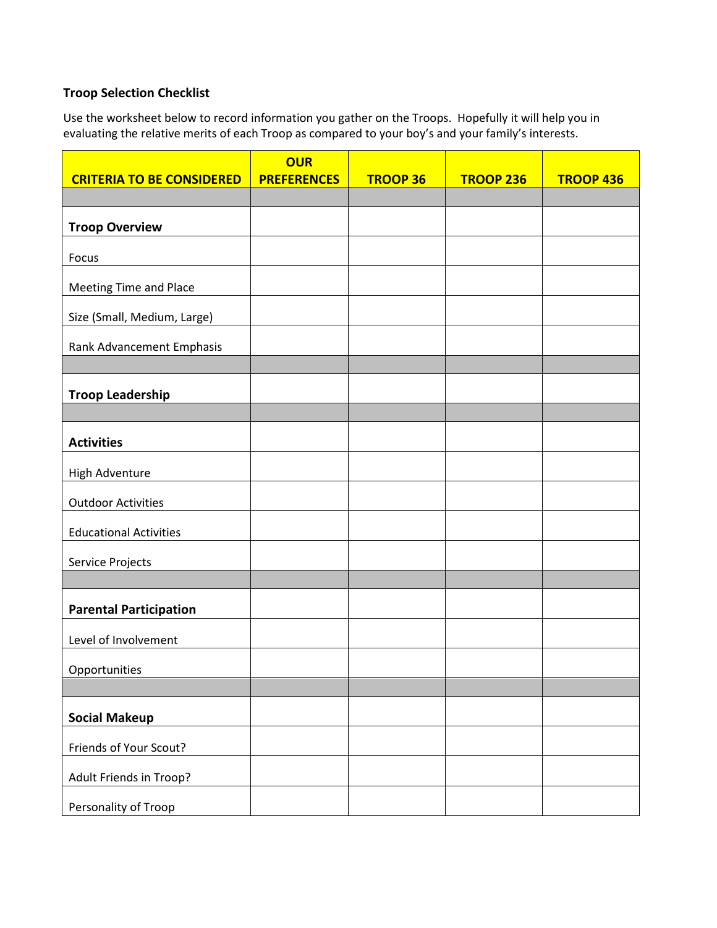# **Troop Selection Checklist**

Use the worksheet below to record information you gather on the Troops. Hopefully it will help you in evaluating the relative merits of each Troop as compared to your boy's and your family's interests.

|                                  | <b>OUR</b>         |                 |                  |                  |
|----------------------------------|--------------------|-----------------|------------------|------------------|
| <b>CRITERIA TO BE CONSIDERED</b> | <b>PREFERENCES</b> | <b>TROOP 36</b> | <b>TROOP 236</b> | <b>TROOP 436</b> |
|                                  |                    |                 |                  |                  |
| <b>Troop Overview</b>            |                    |                 |                  |                  |
| Focus                            |                    |                 |                  |                  |
| <b>Meeting Time and Place</b>    |                    |                 |                  |                  |
| Size (Small, Medium, Large)      |                    |                 |                  |                  |
| Rank Advancement Emphasis        |                    |                 |                  |                  |
|                                  |                    |                 |                  |                  |
| <b>Troop Leadership</b>          |                    |                 |                  |                  |
|                                  |                    |                 |                  |                  |
| <b>Activities</b>                |                    |                 |                  |                  |
| High Adventure                   |                    |                 |                  |                  |
| <b>Outdoor Activities</b>        |                    |                 |                  |                  |
| <b>Educational Activities</b>    |                    |                 |                  |                  |
| Service Projects                 |                    |                 |                  |                  |
|                                  |                    |                 |                  |                  |
| <b>Parental Participation</b>    |                    |                 |                  |                  |
| Level of Involvement             |                    |                 |                  |                  |
| Opportunities                    |                    |                 |                  |                  |
|                                  |                    |                 |                  |                  |
| <b>Social Makeup</b>             |                    |                 |                  |                  |
| Friends of Your Scout?           |                    |                 |                  |                  |
| Adult Friends in Troop?          |                    |                 |                  |                  |
| Personality of Troop             |                    |                 |                  |                  |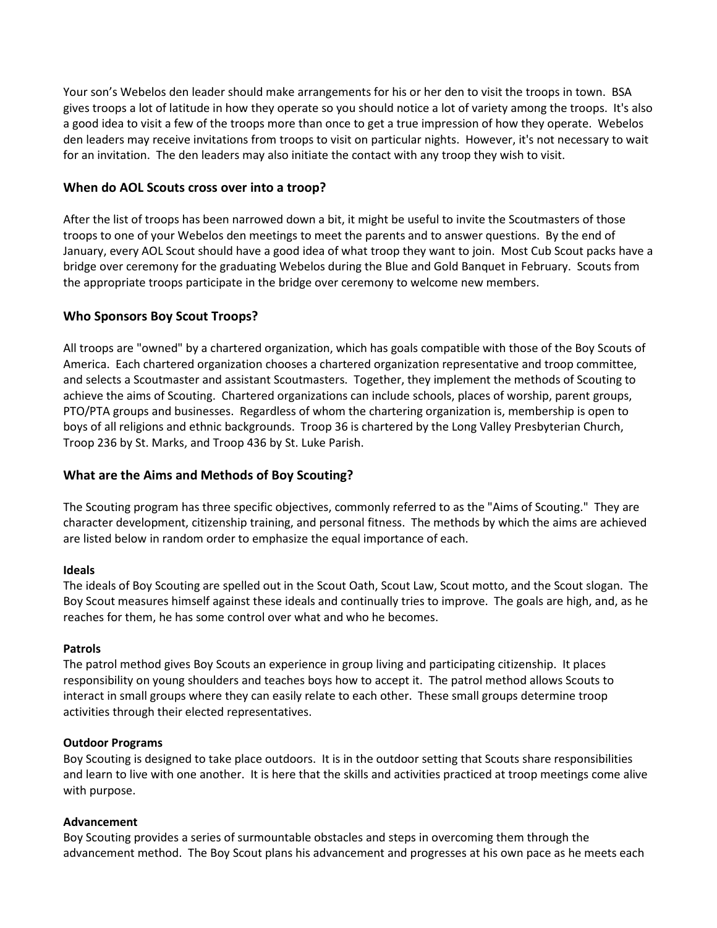Your son's Webelos den leader should make arrangements for his or her den to visit the troops in town. BSA gives troops a lot of latitude in how they operate so you should notice a lot of variety among the troops. It's also a good idea to visit a few of the troops more than once to get a true impression of how they operate. Webelos den leaders may receive invitations from troops to visit on particular nights. However, it's not necessary to wait for an invitation. The den leaders may also initiate the contact with any troop they wish to visit.

# **When do AOL Scouts cross over into a troop?**

After the list of troops has been narrowed down a bit, it might be useful to invite the Scoutmasters of those troops to one of your Webelos den meetings to meet the parents and to answer questions. By the end of January, every AOL Scout should have a good idea of what troop they want to join. Most Cub Scout packs have a bridge over ceremony for the graduating Webelos during the Blue and Gold Banquet in February. Scouts from the appropriate troops participate in the bridge over ceremony to welcome new members.

# **Who Sponsors Boy Scout Troops?**

All troops are "owned" by a chartered organization, which has goals compatible with those of the Boy Scouts of America. Each chartered organization chooses a chartered organization representative and troop committee, and selects a Scoutmaster and assistant Scoutmasters. Together, they implement the methods of Scouting to achieve the aims of Scouting. Chartered organizations can include schools, places of worship, parent groups, PTO/PTA groups and businesses. Regardless of whom the chartering organization is, membership is open to boys of all religions and ethnic backgrounds. Troop 36 is chartered by the Long Valley Presbyterian Church, Troop 236 by St. Marks, and Troop 436 by St. Luke Parish.

# **What are the Aims and Methods of Boy Scouting?**

The Scouting program has three specific objectives, commonly referred to as the "Aims of Scouting." They are character development, citizenship training, and personal fitness. The methods by which the aims are achieved are listed below in random order to emphasize the equal importance of each.

#### **Ideals**

The ideals of Boy Scouting are spelled out in the Scout Oath, Scout Law, Scout motto, and the Scout slogan. The Boy Scout measures himself against these ideals and continually tries to improve. The goals are high, and, as he reaches for them, he has some control over what and who he becomes.

#### **Patrols**

The patrol method gives Boy Scouts an experience in group living and participating citizenship. It places responsibility on young shoulders and teaches boys how to accept it. The patrol method allows Scouts to interact in small groups where they can easily relate to each other. These small groups determine troop activities through their elected representatives.

#### **Outdoor Programs**

Boy Scouting is designed to take place outdoors. It is in the outdoor setting that Scouts share responsibilities and learn to live with one another. It is here that the skills and activities practiced at troop meetings come alive with purpose.

# **Advancement**

Boy Scouting provides a series of surmountable obstacles and steps in overcoming them through the advancement method. The Boy Scout plans his advancement and progresses at his own pace as he meets each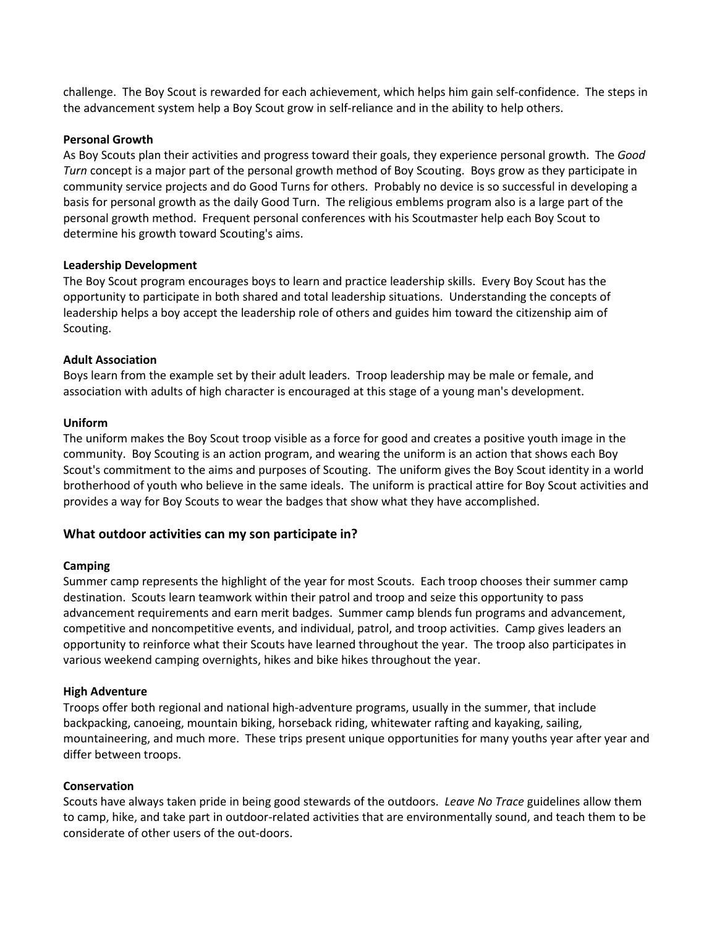challenge. The Boy Scout is rewarded for each achievement, which helps him gain self-confidence. The steps in the advancement system help a Boy Scout grow in self-reliance and in the ability to help others.

#### **Personal Growth**

As Boy Scouts plan their activities and progress toward their goals, they experience personal growth. The *Good Turn* concept is a major part of the personal growth method of Boy Scouting. Boys grow as they participate in community service projects and do Good Turns for others. Probably no device is so successful in developing a basis for personal growth as the daily Good Turn. The religious emblems program also is a large part of the personal growth method. Frequent personal conferences with his Scoutmaster help each Boy Scout to determine his growth toward Scouting's aims.

#### **Leadership Development**

The Boy Scout program encourages boys to learn and practice leadership skills. Every Boy Scout has the opportunity to participate in both shared and total leadership situations. Understanding the concepts of leadership helps a boy accept the leadership role of others and guides him toward the citizenship aim of Scouting.

#### **Adult Association**

Boys learn from the example set by their adult leaders. Troop leadership may be male or female, and association with adults of high character is encouraged at this stage of a young man's development.

#### **Uniform**

The uniform makes the Boy Scout troop visible as a force for good and creates a positive youth image in the community. Boy Scouting is an action program, and wearing the uniform is an action that shows each Boy Scout's commitment to the aims and purposes of Scouting. The uniform gives the Boy Scout identity in a world brotherhood of youth who believe in the same ideals. The uniform is practical attire for Boy Scout activities and provides a way for Boy Scouts to wear the badges that show what they have accomplished.

#### **What outdoor activities can my son participate in?**

#### **Camping**

Summer camp represents the highlight of the year for most Scouts. Each troop chooses their summer camp destination. Scouts learn teamwork within their patrol and troop and seize this opportunity to pass advancement requirements and earn merit badges. Summer camp blends fun programs and advancement, competitive and noncompetitive events, and individual, patrol, and troop activities. Camp gives leaders an opportunity to reinforce what their Scouts have learned throughout the year. The troop also participates in various weekend camping overnights, hikes and bike hikes throughout the year.

#### **High Adventure**

Troops offer both regional and national high-adventure programs, usually in the summer, that include backpacking, canoeing, mountain biking, horseback riding, whitewater rafting and kayaking, sailing, mountaineering, and much more. These trips present unique opportunities for many youths year after year and differ between troops.

#### **Conservation**

Scouts have always taken pride in being good stewards of the outdoors. *Leave No Trace* guidelines allow them to camp, hike, and take part in outdoor-related activities that are environmentally sound, and teach them to be considerate of other users of the out-doors.